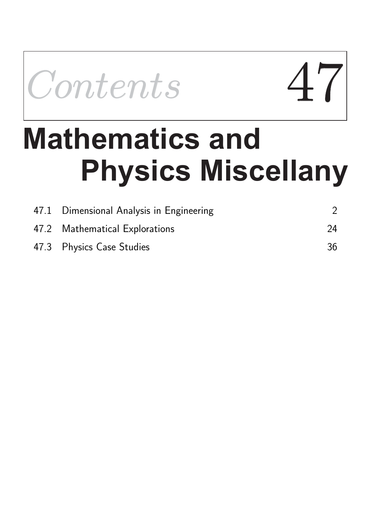Contents Contents 47

# **Physics Miscellany Mathematics and**

| 47.1 Dimensional Analysis in Engineering |    |
|------------------------------------------|----|
| 47.2 Mathematical Explorations           | 24 |
| 47.3 Physics Case Studies                | 36 |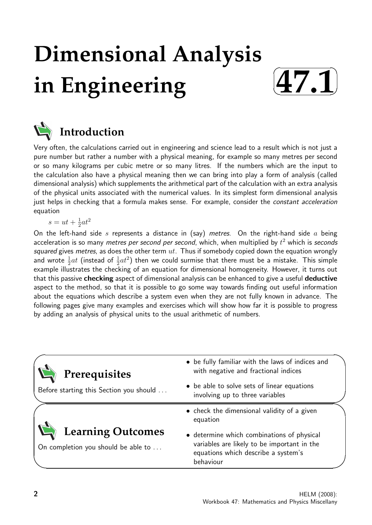## **Dimensional Analysis in Engineering**





## **Introduction**

Very often, the calculations carried out in engineering and science lead to a result which is not just a pure number but rather a number with a physical meaning, for example so many metres per second or so many kilograms per cubic metre or so many litres. If the numbers which are the input to the calculation also have a physical meaning then we can bring into play a form of analysis (called dimensional analysis) which supplements the arithmetical part of the calculation with an extra analysis of the physical units associated with the numerical values. In its simplest form dimensional analysis just helps in checking that a formula makes sense. For example, consider the constant acceleration equation

$$
s = ut + \frac{1}{2}at^2
$$

On the left-hand side s represents a distance in (say) metres. On the right-hand side a being acceleration is so many metres per second per second, which, when multiplied by  $t^2$  which is seconds squared gives metres, as does the other term  $ut$ . Thus if somebody copied down the equation wrongly and wrote  $\frac{1}{2}at$  (instead of  $\frac{1}{2}at^2$ ) then we could surmise that there must be a mistake. This simple example illustrates the checking of an equation for dimensional homogeneity. However, it turns out that this passive checking aspect of dimensional analysis can be enhanced to give a useful deductive aspect to the method, so that it is possible to go some way towards finding out useful information about the equations which describe a system even when they are not fully known in advance. The following pages give many examples and exercises which will show how far it is possible to progress by adding an analysis of physical units to the usual arithmetic of numbers.

| Prerequisites                                                   | • be fully familiar with the laws of indices and<br>with negative and fractional indices                                                      |
|-----------------------------------------------------------------|-----------------------------------------------------------------------------------------------------------------------------------------------|
| Before starting this Section you should                         | • be able to solve sets of linear equations<br>involving up to three variables                                                                |
|                                                                 | • check the dimensional validity of a given<br>equation                                                                                       |
| <b>Learning Outcomes</b><br>On completion you should be able to | • determine which combinations of physical<br>variables are likely to be important in the<br>equations which describe a system's<br>behaviour |

 $\overline{\phantom{0}}$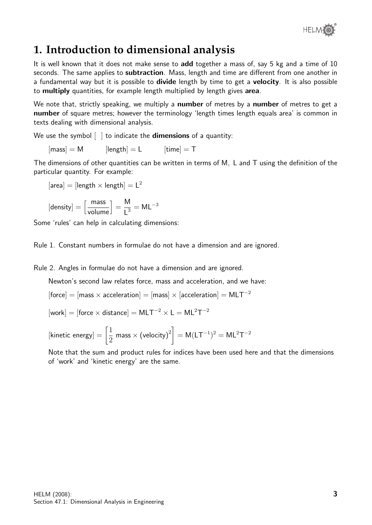

## **1. Introduction to dimensional analysis**

It is well known that it does not make sense to **add** together a mass of, say 5 kg and a time of 10 seconds. The same applies to **subtraction**. Mass, length and time are different from one another in a fundamental way but it is possible to **divide** length by time to get a **velocity**. It is also possible to multiply quantities, for example length multiplied by length gives area.

We note that, strictly speaking, we multiply a **number** of metres by a **number** of metres to get a number of square metres; however the terminology 'length times length equals area' is common in texts dealing with dimensional analysis.

We use the symbol  $\lceil \ \rceil$  to indicate the **dimensions** of a quantity:

$$
[mass] = M \qquad [length] = L \qquad [time] = T
$$

The dimensions of other quantities can be written in terms of M, L and T using the definition of the particular quantity. For example:

$$
[\mathsf{area}] = [\mathsf{length} \times \mathsf{length}] = \mathsf{L}^2
$$

$$
[density] = \left[\frac{\text{mass}}{\text{volume}}\right] = \frac{M}{L^3} = ML^{-3}
$$

Some 'rules' can help in calculating dimensions:

Rule 1. Constant numbers in formulae do not have a dimension and are ignored.

Rule 2. Angles in formulae do not have a dimension and are ignored.

Newton's second law relates force, mass and acceleration, and we have:

 $[force] = [mass \times acceleration] = [mass] \times [acceleration] = MLT^{-2}$ 

 $[work] = [force \times distance] = MLT^{-2} \times L = ML^{2}T^{-2}$ 

$$
[\text{kinetic energy}] = \left[\frac{1}{2} \text{ mass} \times (\text{velocity})^2\right] = M(LT^{-1})^2 = ML^2T^{-2}
$$

Note that the sum and product rules for indices have been used here and that the dimensions of 'work' and 'kinetic energy' are the same.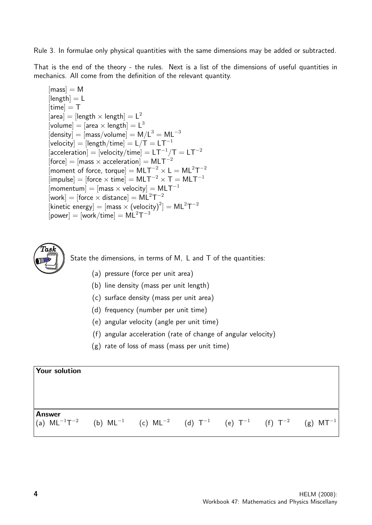Rule 3. In formulae only physical quantities with the same dimensions may be added or subtracted.

That is the end of the theory - the rules. Next is a list of the dimensions of useful quantities in mechanics. All come from the definition of the relevant quantity.

 $[mass] = M$  $[length] = L$  $[time] = T$  $\left[\text{area}\right]=\left[\text{length}\times\text{length}\right]=L^2$ [volume] = [area  $\times$  length] =  $L^3$  $[density] = [mass/volume] = M/L<sup>3</sup> = ML<sup>-3</sup>$  $[\text{velocity}] = [\text{length}/\text{time}] = \text{L}/\text{T} = \text{L}\text{T}^{-1}$  $[\text{acceleration}] = [\text{velocity} / \text{time}] = \text{LT}^{-1} / \text{T} = \text{LT}^{-2}$  $[force] = [mass \times acceleration] = MLT^{-2}$ [moment of force, torque] =  $MLT^{-2} \times L = ML^{2}T^{-2}$  $\lim_{\text{pulse}}$  = [force  $\times$  time] = MLT<sup>-2</sup>  $\times$  T = MLT<sup>-1</sup>  $[\mathsf{momentum}] = [\mathsf{mass} \times \mathsf{velocity}] = \mathsf{MLT}^{-1}$  $[work] = [force \times distance] = ML^{2}T^{-2}$ [kinetic energy] =  $[mass \times (velocity)^2] = ML^2T^{-2}$  $[power] = [work/time] = ML<sup>2</sup>T<sup>-3</sup>$ 



State the dimensions, in terms of M, L and T of the quantities:

- (a) pressure (force per unit area)
- (b) line density (mass per unit length)
- (c) surface density (mass per unit area)
- (d) frequency (number per unit time)
- (e) angular velocity (angle per unit time)
- (f) angular acceleration (rate of change of angular velocity)
- (g) rate of loss of mass (mass per unit time)

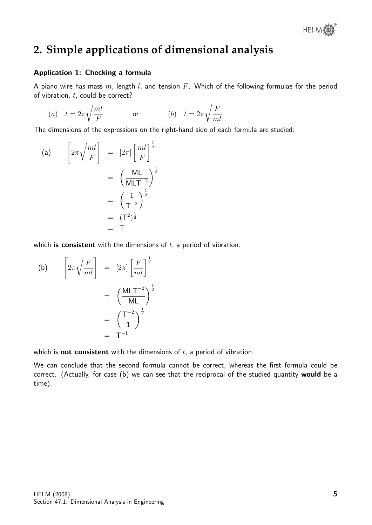

## **2. Simple applications of dimensional analysis**

#### Application 1: Checking a formula

A piano wire has mass  $m$ , length  $l$ , and tension  $F$ . Which of the following formulae for the period of vibration,  $t$ , could be correct?

$$
(a) \quad t=2\pi\sqrt{\frac{ml}{F}} \qquad \qquad \text{or} \qquad \qquad (b) \quad t=2\pi\sqrt{\frac{F}{ml}}
$$

The dimensions of the expressions on the right-hand side of each formula are studied:

(a) 
$$
\left[2\pi\sqrt{\frac{ml}{F}}\right] = \left[2\pi\right]\left[\frac{ml}{F}\right]^{\frac{1}{2}}
$$

$$
= \left(\frac{ML}{MLT^{-2}}\right)^{\frac{1}{2}}
$$

$$
= \left(\frac{1}{T^{-2}}\right)^{\frac{1}{2}}
$$

$$
= (T^2)^{\frac{1}{2}}
$$

$$
= T
$$

which is consistent with the dimensions of  $t$ , a period of vibration.

(b) 
$$
\left[2\pi\sqrt{\frac{F}{ml}}\right] = \left[2\pi\right]\left[\frac{F}{ml}\right]^{\frac{1}{2}}
$$

$$
= \left(\frac{\text{MLT}^{-2}}{\text{ML}}\right)^{\frac{1}{2}}
$$

$$
= \left(\frac{\text{T}^{-2}}{1}\right)^{\frac{1}{2}}
$$

$$
= \text{T}^{-1}
$$

which is **not consistent** with the dimensions of  $t$ , a period of vibration.

We can conclude that the second formula cannot be correct, whereas the first formula could be correct. (Actually, for case (b) we can see that the reciprocal of the studied quantity would be a time).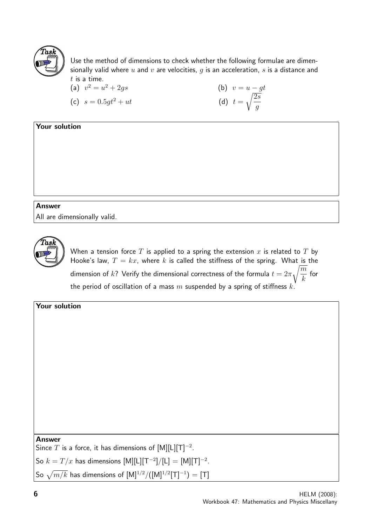

Use the method of dimensions to check whether the following formulae are dimensionally valid where  $u$  and  $v$  are velocities,  $g$  is an acceleration,  $s$  is a distance and  $t$  is a time.

(a) 
$$
v^2 = u^2 + 2gs
$$
  
\n(b)  $v = u - gt$   
\n(c)  $s = 0.5gt^2 + ut$   
\n(d)  $t = \sqrt{\frac{2s}{g}}$ 

#### Your solution

## Answer

All are dimensionally valid.



When a tension force T is applied to a spring the extension x is related to T by Hooke's law,  $T = kx$ , where k is called the stiffness of the spring. What is the dimension of  $k$ ? Verify the dimensional correctness of the formula  $t=2\pi$  $\sqrt{m}$ k for the period of oscillation of a mass  $m$  suspended by a spring of stiffness  $k$ .

| Your solution                                                                        |  |  |  |  |  |  |
|--------------------------------------------------------------------------------------|--|--|--|--|--|--|
|                                                                                      |  |  |  |  |  |  |
|                                                                                      |  |  |  |  |  |  |
|                                                                                      |  |  |  |  |  |  |
|                                                                                      |  |  |  |  |  |  |
|                                                                                      |  |  |  |  |  |  |
|                                                                                      |  |  |  |  |  |  |
|                                                                                      |  |  |  |  |  |  |
|                                                                                      |  |  |  |  |  |  |
|                                                                                      |  |  |  |  |  |  |
|                                                                                      |  |  |  |  |  |  |
|                                                                                      |  |  |  |  |  |  |
| <b>Answer</b><br>Since T is a force, it has dimensions of $[M][L][T]^{-2}$ .         |  |  |  |  |  |  |
|                                                                                      |  |  |  |  |  |  |
| $\big $ So $k=T/x$ has dimensions $\text{[M][L][T^{-2}]/[L]} = \text{[M][T]^{-2}}$ . |  |  |  |  |  |  |
| So $\sqrt{m/k}$ has dimensions of $[M]^{1/2}/([M]^{1/2}[T]^{-1}) = [T]$              |  |  |  |  |  |  |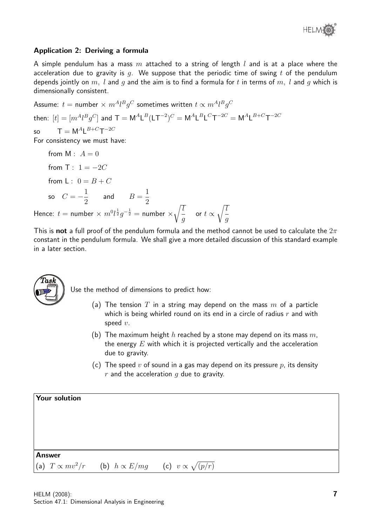

#### Application 2: Deriving a formula

A simple pendulum has a mass m attached to a string of length l and is at a place where the acceleration due to gravity is q. We suppose that the periodic time of swing t of the pendulum depends jointly on m, l and g and the aim is to find a formula for t in terms of m, l and g which is dimensionally consistent.

Assume:  $t=$  number  $\times\ m^Al^Bg^C$  sometimes written  $t\propto m^Al^Bg^C$ then:  $[t] = [m^Al^B g^C]$  and  $\mathsf{T} = \mathsf{M}^A \mathsf{L}^B (\mathsf{L} \mathsf{T}^{-2})^C = \mathsf{M}^A \mathsf{L}^B \mathsf{L}^C \mathsf{T}^{-2C} = \mathsf{M}^A \mathsf{L}^{B+C} \mathsf{T}^{-2C}$ so  $\mathsf{T} = \mathsf{M}^{A} \mathsf{L}^{B+C} \mathsf{T}^{-2C}$ For consistency we must have:

from  $M : A = 0$ from T:  $1 = -2C$ from L :  $0 = B + C$ so  $C = -\frac{1}{2}$ 2 and  $B =$ 1 2 Hence:  $t =$  number  $\times m^0 l^{\frac{1}{2}} g^{-\frac{1}{2}} =$  number  $\times$  $\sqrt{l}$ g or  $t \propto$  $\sqrt{l}$ g

This is not a full proof of the pendulum formula and the method cannot be used to calculate the  $2\pi$ constant in the pendulum formula. We shall give a more detailed discussion of this standard example in a later section.



Use the method of dimensions to predict how:

- (a) The tension T in a string may depend on the mass  $m$  of a particle which is being whirled round on its end in a circle of radius  $r$  and with speed  $v$ .
- (b) The maximum height h reached by a stone may depend on its mass  $m$ , the energy  $E$  with which it is projected vertically and the acceleration due to gravity.
- (c) The speed v of sound in a gas may depend on its pressure  $p$ , its density  $r$  and the acceleration  $q$  due to gravity.

| <b>Your solution</b> |                                                                          |  |  |
|----------------------|--------------------------------------------------------------------------|--|--|
|                      |                                                                          |  |  |
|                      |                                                                          |  |  |
|                      |                                                                          |  |  |
| <b>Answer</b>        |                                                                          |  |  |
|                      | (a) $T \propto mv^2/r$ (b) $h \propto E/mg$ (c) $v \propto \sqrt{(p/r)}$ |  |  |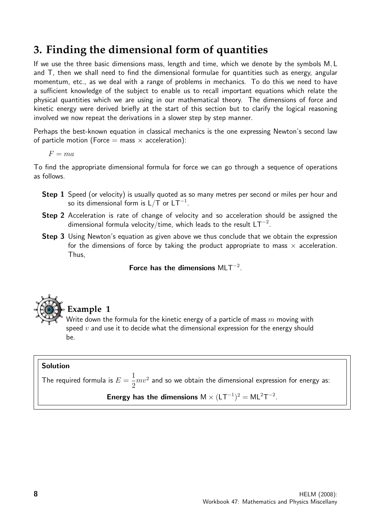## **3. Finding the dimensional form of quantities**

If we use the three basic dimensions mass, length and time, which we denote by the symbols M, L and T, then we shall need to find the dimensional formulae for quantities such as energy, angular momentum, etc., as we deal with a range of problems in mechanics. To do this we need to have a sufficient knowledge of the subject to enable us to recall important equations which relate the physical quantities which we are using in our mathematical theory. The dimensions of force and kinetic energy were derived briefly at the start of this section but to clarify the logical reasoning involved we now repeat the derivations in a slower step by step manner.

Perhaps the best-known equation in classical mechanics is the one expressing Newton's second law of particle motion (Force  $=$  mass  $\times$  acceleration):

 $F = ma$ 

To find the appropriate dimensional formula for force we can go through a sequence of operations as follows.

- **Step 1** Speed (or velocity) is usually quoted as so many metres per second or miles per hour and so its dimensional form is L/T or LT $^{\rm -1}.$
- Step 2 Acceleration is rate of change of velocity and so acceleration should be assigned the dimensional formula velocity/time, which leads to the result LT $^{\rm -2}.$
- **Step 3** Using Newton's equation as given above we thus conclude that we obtain the expression for the dimensions of force by taking the product appropriate to mass  $\times$  acceleration. Thus,

Force has the dimensions  $MLT^{-2}$ .



**Example 1**

Write down the formula for the kinetic energy of a particle of mass  $m$  moving with speed  $v$  and use it to decide what the dimensional expression for the energy should be.

#### Solution

The required formula is  $E =$ 1 2  $mv^2$  and so we obtain the dimensional expression for energy as:

#### Energy has the dimensions  $M \times (LT^{-1})^2 = ML^2T^{-2}$ .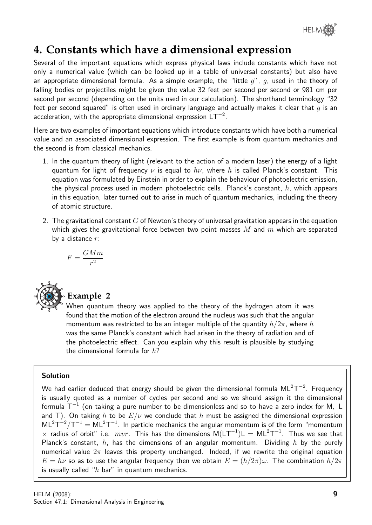

## **4. Constants which have a dimensional expression**

Several of the important equations which express physical laws include constants which have not only a numerical value (which can be looked up in a table of universal constants) but also have an appropriate dimensional formula. As a simple example, the "little  $g''$ ,  $g$ , used in the theory of falling bodies or projectiles might be given the value 32 feet per second per second or 981 cm per second per second (depending on the units used in our calculation). The shorthand terminology "32 feet per second squared" is often used in ordinary language and actually makes it clear that  $q$  is an acceleration, with the appropriate dimensional expression  $LT^{-2}$ .

Here are two examples of important equations which introduce constants which have both a numerical value and an associated dimensional expression. The first example is from quantum mechanics and the second is from classical mechanics.

- 1. In the quantum theory of light (relevant to the action of a modern laser) the energy of a light quantum for light of frequency  $\nu$  is equal to  $h\nu$ , where h is called Planck's constant. This equation was formulated by Einstein in order to explain the behaviour of photoelectric emission, the physical process used in modern photoelectric cells. Planck's constant,  $h$ , which appears in this equation, later turned out to arise in much of quantum mechanics, including the theory of atomic structure.
- 2. The gravitational constant  $G$  of Newton's theory of universal gravitation appears in the equation which gives the gravitational force between two point masses  $M$  and  $m$  which are separated by a distance  $r$ :

$$
F = \frac{GMm}{r^2}
$$



#### **Example 2**

When quantum theory was applied to the theory of the hydrogen atom it was found that the motion of the electron around the nucleus was such that the angular momentum was restricted to be an integer multiple of the quantity  $h/2\pi$ , where h was the same Planck's constant which had arisen in the theory of radiation and of the photoelectric effect. Can you explain why this result is plausible by studying the dimensional formula for  $h$ ?

#### Solution

We had earlier deduced that energy should be given the dimensional formula ML $^2\text{T}^{-2}$ . Frequency is usually quoted as a number of cycles per second and so we should assign it the dimensional formula  $\textsf{T}^{-1}$  (on taking a pure number to be dimensionless and so to have a zero index for M, L and T). On taking h to be  $E/\nu$  we conclude that h must be assigned the dimensional expression  $ML^{2}T^{-2}/T^{-1} = ML^{2}T^{-1}$ . In particle mechanics the angular momentum is of the form "momentum  $\times$  radius of orbit" i.e.  $mvr$ . This has the dimensions  $M(LT^{-1})L = ML^{2}T^{-1}$ . Thus we see that Planck's constant, h, has the dimensions of an angular momentum. Dividing h by the purely numerical value  $2\pi$  leaves this property unchanged. Indeed, if we rewrite the original equation  $E = h\nu$  so as to use the angular frequency then we obtain  $E = (h/2\pi)\omega$ . The combination  $h/2\pi$ is usually called " $h$  bar" in quantum mechanics.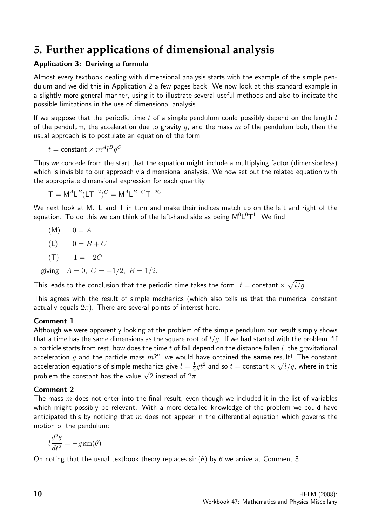## **5. Further applications of dimensional analysis**

#### Application 3: Deriving a formula

Almost every textbook dealing with dimensional analysis starts with the example of the simple pendulum and we did this in Application 2 a few pages back. We now look at this standard example in a slightly more general manner, using it to illustrate several useful methods and also to indicate the possible limitations in the use of dimensional analysis.

If we suppose that the periodic time  $t$  of a simple pendulum could possibly depend on the length  $l$ of the pendulum, the acceleration due to gravity q, and the mass  $m$  of the pendulum bob, then the usual approach is to postulate an equation of the form

$$
t = \text{constant} \times m^A l^B g^C
$$

Thus we concede from the start that the equation might include a multiplying factor (dimensionless) which is invisible to our approach via dimensional analysis. We now set out the related equation with the appropriate dimensional expression for each quantity

$$
\mathsf{T} = \mathsf{M}^A \mathsf{L}^B (\mathsf{L} \mathsf{T}^{-2})^C = \mathsf{M}^A \mathsf{L}^{B+C} \mathsf{T}^{-2C}
$$

We next look at M, L and T in turn and make their indices match up on the left and right of the equation. To do this we can think of the left-hand side as being  $\mathsf{M}^0\mathsf{L}^0\mathsf{T}^1$ . We find

 $(M)$  0 = A

$$
(\mathsf{L}) \qquad 0 = B + C
$$

$$
(\mathsf{T}) \qquad 1 = -2C
$$

giving  $A = 0$ ,  $C = -1/2$ ,  $B = 1/2$ .

This leads to the conclusion that the periodic time takes the form  $t=$  constant  $\times$   $\sqrt{l/g}.$ 

This agrees with the result of simple mechanics (which also tells us that the numerical constant actually equals  $2\pi$ ). There are several points of interest here.

#### Comment 1

Although we were apparently looking at the problem of the simple pendulum our result simply shows that a time has the same dimensions as the square root of  $l/q$ . If we had started with the problem "If a particle starts from rest, how does the time  $t$  of fall depend on the distance fallen  $l$ , the gravitational acceleration g and the particle mass  $m$ ?" we would have obtained the same result! The constant acceleration equations of simple mechanics give  $l=\frac{1}{2}$  $\frac{1}{2} g t^2$  and so  $t =$  constant  $\times \sqrt{l/g}$ , where in this acceleration equations or simple mechanics give  $i - \frac{1}{2}$ ;<br>problem the constant has the value  $\sqrt{2}$  instead of  $2\pi$ .

#### Comment 2

The mass  $m$  does not enter into the final result, even though we included it in the list of variables which might possibly be relevant. With a more detailed knowledge of the problem we could have anticipated this by noticing that m does not appear in the differential equation which governs the motion of the pendulum:

$$
l\frac{d^2\theta}{dt^2} = -g\sin(\theta)
$$

On noting that the usual textbook theory replaces  $sin(\theta)$  by  $\theta$  we arrive at Comment 3.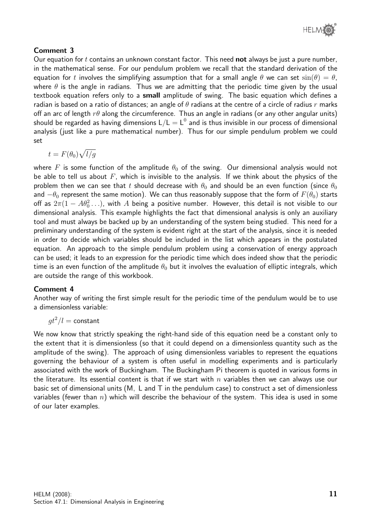

#### Comment 3

Our equation for t contains an unknown constant factor. This need **not** always be just a pure number, in the mathematical sense. For our pendulum problem we recall that the standard derivation of the equation for t involves the simplifying assumption that for a small angle  $\theta$  we can set  $\sin(\theta) = \theta$ , where  $\theta$  is the angle in radians. Thus we are admitting that the periodic time given by the usual textbook equation refers only to a **small** amplitude of swing. The basic equation which defines a radian is based on a ratio of distances; an angle of  $\theta$  radians at the centre of a circle of radius r marks off an arc of length  $r\theta$  along the circumference. Thus an angle in radians (or any other angular units) should be regarded as having dimensions  $\sf L/L = L^0$  and is thus invisible in our process of dimensional analysis (just like a pure mathematical number). Thus for our simple pendulum problem we could set

$$
t = F(\theta_0) \sqrt{l/g}
$$

where F is some function of the amplitude  $\theta_0$  of the swing. Our dimensional analysis would not be able to tell us about  $F$ , which is invisible to the analysis. If we think about the physics of the problem then we can see that t should decrease with  $\theta_0$  and should be an even function (since  $\theta_0$ and  $-\theta_0$  represent the same motion). We can thus reasonably suppose that the form of  $F(\theta_0)$  starts off as  $2\pi(1-A\theta_0^2\ldots)$ , with  $A$  being a positive number. However, this detail is not visible to our dimensional analysis. This example highlights the fact that dimensional analysis is only an auxiliary tool and must always be backed up by an understanding of the system being studied. This need for a preliminary understanding of the system is evident right at the start of the analysis, since it is needed in order to decide which variables should be included in the list which appears in the postulated equation. An approach to the simple pendulum problem using a conservation of energy approach can be used; it leads to an expression for the periodic time which does indeed show that the periodic time is an even function of the amplitude  $\theta_0$  but it involves the evaluation of elliptic integrals, which are outside the range of this workbook.

#### Comment 4

Another way of writing the first simple result for the periodic time of the pendulum would be to use a dimensionless variable:

$$
gt^2/l = \mathrm{constant}
$$

We now know that strictly speaking the right-hand side of this equation need be a constant only to the extent that it is dimensionless (so that it could depend on a dimensionless quantity such as the amplitude of the swing). The approach of using dimensionless variables to represent the equations governing the behaviour of a system is often useful in modelling experiments and is particularly associated with the work of Buckingham. The Buckingham Pi theorem is quoted in various forms in the literature. Its essential content is that if we start with  $n$  variables then we can always use our basic set of dimensional units (M, L and T in the pendulum case) to construct a set of dimensionless variables (fewer than  $n$ ) which will describe the behaviour of the system. This idea is used in some of our later examples.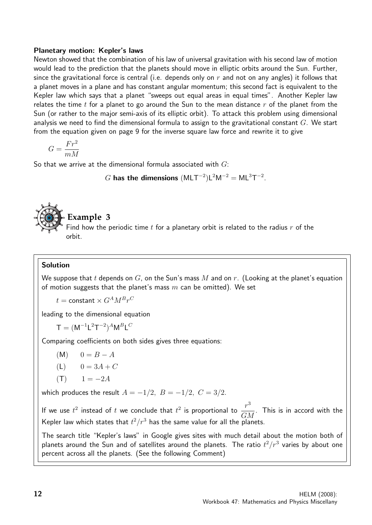#### Planetary motion: Kepler's laws

Newton showed that the combination of his law of universal gravitation with his second law of motion would lead to the prediction that the planets should move in elliptic orbits around the Sun. Further, since the gravitational force is central (i.e. depends only on  $r$  and not on any angles) it follows that a planet moves in a plane and has constant angular momentum; this second fact is equivalent to the Kepler law which says that a planet "sweeps out equal areas in equal times". Another Kepler law relates the time t for a planet to go around the Sun to the mean distance  $r$  of the planet from the Sun (or rather to the major semi-axis of its elliptic orbit). To attack this problem using dimensional analysis we need to find the dimensional formula to assign to the gravitational constant  $G$ . We start from the equation given on page 9 for the inverse square law force and rewrite it to give

$$
G=\frac{Fr^2}{mM}
$$

So that we arrive at the dimensional formula associated with  $G$ :

G has the dimensions  $(MLT^{-2})L^2M^{-2} = ML^3T^{-2}$ .



#### **Example 3**

Find how the periodic time  $t$  for a planetary orbit is related to the radius  $r$  of the orbit.

#### Solution

We suppose that t depends on  $G$ , on the Sun's mass  $M$  and on  $r$ . (Looking at the planet's equation of motion suggests that the planet's mass  $m$  can be omitted). We set

 $t = {\mathsf{constant}} \times G^{A} M^{B} r^{C}$ 

leading to the dimensional equation

 $\mathsf{T} = (\mathsf{M}^{-1} \mathsf{L}^2 \mathsf{T}^{-2})^A \mathsf{M}^B \mathsf{L}^C$ 

Comparing coefficients on both sides gives three equations:

- $(M)$  0 = B A
- (L)  $0 = 3A + C$

$$
(\mathsf{T}) \qquad 1 = -2A
$$

which produces the result  $A = -1/2$ ,  $B = -1/2$ ,  $C = 3/2$ .

If we use  $t^2$  instead of t we conclude that  $t^2$  is proportional to  $\frac{r^3}{\sqrt{2}}$  $\frac{1}{GM}$ . This is in accord with the Kepler law which states that  $t^2/r^3$  has the same value for all the planets.

The search title "Kepler's laws" in Google gives sites with much detail about the motion both of planets around the Sun and of satellites around the planets. The ratio  $t^2/r^3$  varies by about one percent across all the planets. (See the following Comment)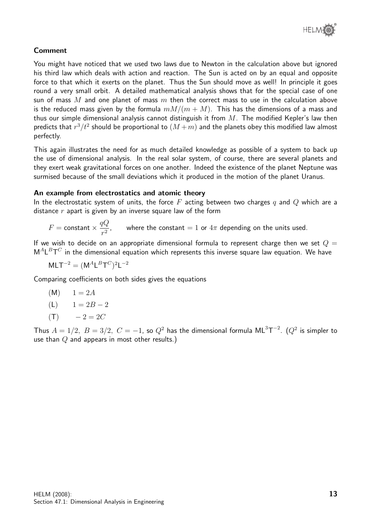

#### Comment

You might have noticed that we used two laws due to Newton in the calculation above but ignored his third law which deals with action and reaction. The Sun is acted on by an equal and opposite force to that which it exerts on the planet. Thus the Sun should move as well! In principle it goes round a very small orbit. A detailed mathematical analysis shows that for the special case of one sun of mass  $M$  and one planet of mass  $m$  then the correct mass to use in the calculation above is the reduced mass given by the formula  $mM/(m + M)$ . This has the dimensions of a mass and thus our simple dimensional analysis cannot distinguish it from  $M$ . The modified Kepler's law then predicts that  $r^3/t^2$  should be proportional to  $(M+m)$  and the planets obey this modified law almost perfectly.

This again illustrates the need for as much detailed knowledge as possible of a system to back up the use of dimensional analysis. In the real solar system, of course, there are several planets and they exert weak gravitational forces on one another. Indeed the existence of the planet Neptune was surmised because of the small deviations which it produced in the motion of the planet Uranus.

#### An example from electrostatics and atomic theory

In the electrostatic system of units, the force F acting between two charges q and Q which are a distance  $r$  apart is given by an inverse square law of the form

$$
F = \text{constant} \times \frac{qQ}{r^2}, \qquad \text{where the constant} = 1 \text{ or } 4\pi \text{ depending on the units used.}
$$

If we wish to decide on an appropriate dimensional formula to represent charge then we set  $Q =$  $\mathsf{M}^A\mathsf{L}^B\mathsf{T}^C$  in the dimensional equation which represents this inverse square law equation. We have

$$
MLT^{-2} = (M^A L^B T^C)^2 L^{-2}
$$

Comparing coefficients on both sides gives the equations

(M) 
$$
1 = 2A
$$
  
(L)  $1 = 2B - 2$ 

$$
(\mathsf{T}) \qquad -2 = 2C
$$

Thus  $A=1/2,\,\,B=3/2,\,\,C=-1,$  so  $Q^2$  has the dimensional formula  $\mathsf{ML}^3\mathsf{T}^{-2}.$   $(Q^2$  is simpler to use than  $Q$  and appears in most other results.)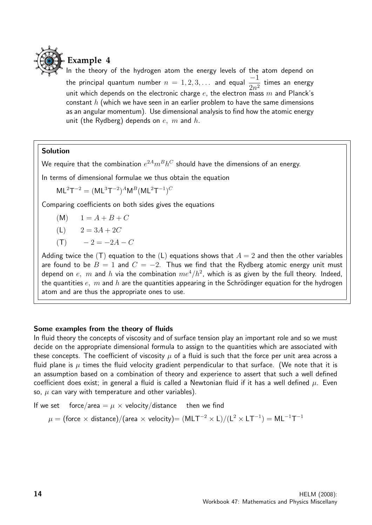

In the theory of the hydrogen atom the energy levels of the atom depend on the principal quantum number  $n = 1, 2, 3, \ldots$  and equal  $\frac{-1}{2}$  $\frac{1}{2n^2}$  times an energy unit which depends on the electronic charge  $e$ , the electron mass m and Planck's constant  $h$  (which we have seen in an earlier problem to have the same dimensions as an angular momentum). Use dimensional analysis to find how the atomic energy unit (the Rydberg) depends on  $e$ ,  $m$  and  $h$ .

#### Solution

We require that the combination  $e^{2A}m^Bh^C$  should have the dimensions of an energy.

In terms of dimensional formulae we thus obtain the equation

 $ML^{2}T^{-2} = (ML^{3}T^{-2})^{A}M^{B}(ML^{2}T^{-1})^{C}$ 

Comparing coefficients on both sides gives the equations

 $(M)$   $1 = A + B + C$ 

$$
(L) \qquad 2 = 3A + 2C
$$

 $(T)$  − 2 = -2A – C

Adding twice the (T) equation to the (L) equations shows that  $A = 2$  and then the other variables are found to be  $B = 1$  and  $C = -2$ . Thus we find that the Rydberg atomic energy unit must depend on  $e, \; m$  and  $h$  via the combination  $me^4/h^2$ , which is as given by the full theory. Indeed, the quantities  $e$ , m and h are the quantities appearing in the Schrödinger equation for the hydrogen atom and are thus the appropriate ones to use.

#### Some examples from the theory of fluids

In fluid theory the concepts of viscosity and of surface tension play an important role and so we must decide on the appropriate dimensional formula to assign to the quantities which are associated with these concepts. The coefficient of viscosity  $\mu$  of a fluid is such that the force per unit area across a fluid plane is  $\mu$  times the fluid velocity gradient perpendicular to that surface. (We note that it is an assumption based on a combination of theory and experience to assert that such a well defined coefficient does exist; in general a fluid is called a Newtonian fluid if it has a well defined  $\mu$ . Even so,  $\mu$  can vary with temperature and other variables).

If we set force/area  $=\mu \times$  velocity/distance then we find

$$
\mu = \frac{\text{(force × distance)}}{\text{(area × velocity)}} = \frac{\text{(MLT}^{-2} \times L)}{\text{(L}^2 \times LT^{-1})} = ML^{-1}T^{-1}
$$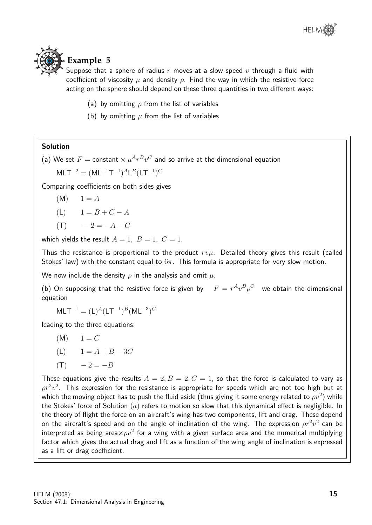### **Example 5**

Suppose that a sphere of radius  $r$  moves at a slow speed  $v$  through a fluid with coefficient of viscosity  $\mu$  and density  $\rho$ . Find the way in which the resistive force acting on the sphere should depend on these three quantities in two different ways:

- (a) by omitting  $\rho$  from the list of variables
- (b) by omitting  $\mu$  from the list of variables

#### Solution

(a) We set  $F=$  constant  $\times\ \mu^A r^B v^C$  and so arrive at the dimensional equation

 $MLT^{-2} = (ML^{-1}T^{-1})^A L^B (LT^{-1})^C$ 

Comparing coefficients on both sides gives

$$
(\mathsf{M}) \qquad 1 = A
$$

$$
L) \qquad 1 = B + C - A
$$

$$
(\mathsf{T}) \qquad -2 = -A - C
$$

which yields the result  $A = 1$ ,  $B = 1$ ,  $C = 1$ .

Thus the resistance is proportional to the product  $rv\mu$ . Detailed theory gives this result (called Stokes' law) with the constant equal to  $6\pi$ . This formula is appropriate for very slow motion.

We now include the density  $\rho$  in the analysis and omit  $\mu$ .

(b) On supposing that the resistive force is given by  $F = r^A v^B \rho^C$  we obtain the dimensional equation

 $MLT^{-1} = (L)^A (LT^{-1})^B (ML^{-3})^C$ 

leading to the three equations:

 $(M) \t1 = C$ 

$$
(L) \qquad 1 = A + B - 3C
$$

$$
(\mathsf{T}) \qquad -2 = -B
$$

These equations give the results  $A = 2, B = 2, C = 1$ , so that the force is calculated to vary as  $\rho r^2 v^2$ . This expression for the resistance is appropriate for speeds which are not too high but at which the moving object has to push the fluid aside (thus giving it some energy related to  $\rho v^2)$  while the Stokes' force of Solution  $(a)$  refers to motion so slow that this dynamical effect is negligible. In the theory of flight the force on an aircraft's wing has two components, lift and drag. These depend on the aircraft's speed and on the angle of inclination of the wing. The expression  $\rho r^2v^2$  can be interpreted as being area $\times \rho v^2$  for a wing with a given surface area and the numerical multiplying factor which gives the actual drag and lift as a function of the wing angle of inclination is expressed as a lift or drag coefficient.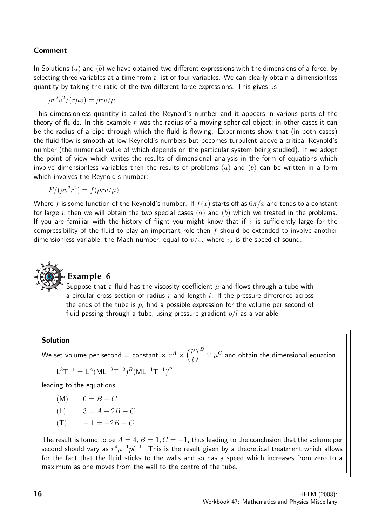#### Comment

In Solutions  $(a)$  and  $(b)$  we have obtained two different expressions with the dimensions of a force, by selecting three variables at a time from a list of four variables. We can clearly obtain a dimensionless quantity by taking the ratio of the two different force expressions. This gives us

$$
\rho r^2 v^2 / (r \mu v) = \rho r v / \mu
$$

This dimensionless quantity is called the Reynold's number and it appears in various parts of the theory of fluids. In this example  $r$  was the radius of a moving spherical object; in other cases it can be the radius of a pipe through which the fluid is flowing. Experiments show that (in both cases) the fluid flow is smooth at low Reynold's numbers but becomes turbulent above a critical Reynold's number (the numerical value of which depends on the particular system being studied). If we adopt the point of view which writes the results of dimensional analysis in the form of equations which involve dimensionless variables then the results of problems  $(a)$  and  $(b)$  can be written in a form which involves the Reynold's number:

$$
F/(\rho v^2 r^2) = f(\rho r v/\mu)
$$

Where f is some function of the Reynold's number. If  $f(x)$  starts off as  $6\pi/x$  and tends to a constant for large v then we will obtain the two special cases (a) and (b) which we treated in the problems. If you are familiar with the history of flight you might know that if  $v$  is sufficiently large for the compressibility of the fluid to play an important role then f should be extended to involve another dimensionless variable, the Mach number, equal to  $v/v_s$  where  $v_s$  is the speed of sound.



#### **Example 6**

Suppose that a fluid has the viscosity coefficient  $\mu$  and flows through a tube with a circular cross section of radius  $r$  and length  $l$ . If the pressure difference across the ends of the tube is  $p$ , find a possible expression for the volume per second of fluid passing through a tube, using pressure gradient  $p/l$  as a variable.

#### Solution

We set volume per second  $=$  constant  $\times$   $r^{A} \times \left(\frac{p}{q}\right)$ l  $\int^B \times \mu^C$  and obtain the dimensional equation

$$
\mathsf{L}^3\mathsf{T}^{-1}=\mathsf{L}^A(\mathsf{M}\mathsf{L}^{-2}\mathsf{T}^{-2})^B(\mathsf{M}\mathsf{L}^{-1}\mathsf{T}^{-1})^C
$$

leading to the equations

- $(M)$  0 = B + C
- (L)  $3 = A 2B C$
- $(T) = -1 = -2B C$

The result is found to be  $A = 4, B = 1, C = -1$ , thus leading to the conclusion that the volume per second should vary as  $r^4\mu^{-1}pl^{-1}.$  This is the result given by a theoretical treatment which allows for the fact that the fluid sticks to the walls and so has a speed which increases from zero to a maximum as one moves from the wall to the centre of the tube.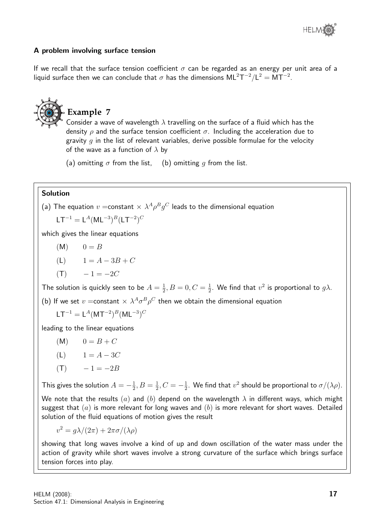

#### A problem involving surface tension

If we recall that the surface tension coefficient  $\sigma$  can be regarded as an energy per unit area of a liquid surface then we can conclude that  $\sigma$  has the dimensions  $\mathsf{ML}^2\mathsf{T}^{-2}/\mathsf{L}^2=\mathsf{MT}^{-2}.$ 



#### Solution

(a) The equation  $v=$  constant  $\times$   $\lambda ^A\rho ^Bg^C$  leads to the dimensional equation  $LT^{-1} = L^{A} (ML^{-3})^{B} (LT^{-2})^{C}$ 

which gives the linear equations

 $(M)$   $0 = B$ 

$$
(L) \qquad 1 = A - 3B + C
$$

$$
(\mathsf{T}) \qquad -1 = -2C
$$

The solution is quickly seen to be  $A=\frac{1}{2}$  $\frac{1}{2}, B = 0, C = \frac{1}{2}$  $\frac{1}{2}$ . We find that  $v^2$  is proportional to  $g\lambda$ .

(b) If we set  $v =$ constant  $\times \lambda^A \sigma^B \rho^C$  then we obtain the dimensional equation

$$
LT^{-1} = L^{A} (MT^{-2})^{B} (ML^{-3})^{C}
$$

leading to the linear equations

- $(M)$  0 = B + C
- (L)  $1 = A 3C$

$$
(\mathsf{T}) \qquad -1 = -2B
$$

This gives the solution  $A=-\frac{1}{2}$  $\frac{1}{2}, B = \frac{1}{2}$  $\frac{1}{2}$ ,  $C = -\frac{1}{2}$  $\frac{1}{2}$ . We find that  $v^2$  should be proportional to  $\sigma/(\lambda\rho)$ . We note that the results (a) and (b) depend on the wavelength  $\lambda$  in different ways, which might suggest that  $(a)$  is more relevant for long waves and  $(b)$  is more relevant for short waves. Detailed solution of the fluid equations of motion gives the result

$$
v^2 = g\lambda/(2\pi) + 2\pi\sigma/(\lambda\rho)
$$

showing that long waves involve a kind of up and down oscillation of the water mass under the action of gravity while short waves involve a strong curvature of the surface which brings surface tension forces into play.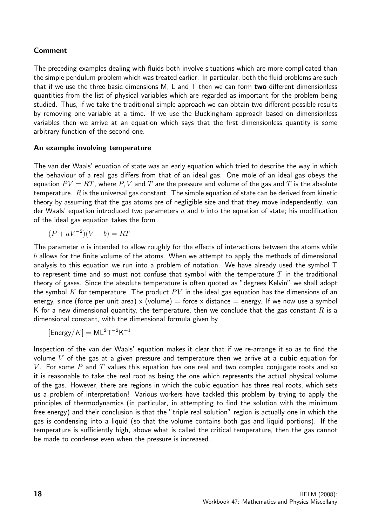#### Comment

The preceding examples dealing with fluids both involve situations which are more complicated than the simple pendulum problem which was treated earlier. In particular, both the fluid problems are such that if we use the three basic dimensions M, L and T then we can form two different dimensionless quantities from the list of physical variables which are regarded as important for the problem being studied. Thus, if we take the traditional simple approach we can obtain two different possible results by removing one variable at a time. If we use the Buckingham approach based on dimensionless variables then we arrive at an equation which says that the first dimensionless quantity is some arbitrary function of the second one.

#### An example involving temperature

The van der Waals' equation of state was an early equation which tried to describe the way in which the behaviour of a real gas differs from that of an ideal gas. One mole of an ideal gas obeys the equation  $PV = RT$ , where P, V and T are the pressure and volume of the gas and T is the absolute temperature.  $R$  is the universal gas constant. The simple equation of state can be derived from kinetic theory by assuming that the gas atoms are of negligible size and that they move independently. van der Waals' equation introduced two parameters a and b into the equation of state; his modification of the ideal gas equation takes the form

$$
(P + aV^{-2})(V - b) = RT
$$

The parameter  $a$  is intended to allow roughly for the effects of interactions between the atoms while  $b$  allows for the finite volume of the atoms. When we attempt to apply the methods of dimensional analysis to this equation we run into a problem of notation. We have already used the symbol T to represent time and so must not confuse that symbol with the temperature  $T$  in the traditional theory of gases. Since the absolute temperature is often quoted as "degrees Kelvin" we shall adopt the symbol K for temperature. The product  $PV$  in the ideal gas equation has the dimensions of an energy, since (force per unit area) x (volume) = force x distance = energy. If we now use a symbol K for a new dimensional quantity, the temperature, then we conclude that the gas constant R is a dimensional constant, with the dimensional formula given by

 $[Energy/K] = ML^{2}T^{-2}K^{-1}$ 

Inspection of the van der Waals' equation makes it clear that if we re-arrange it so as to find the volume  $V$  of the gas at a given pressure and temperature then we arrive at a **cubic** equation for V. For some P and T values this equation has one real and two complex conjugate roots and so it is reasonable to take the real root as being the one which represents the actual physical volume of the gas. However, there are regions in which the cubic equation has three real roots, which sets us a problem of interpretation! Various workers have tackled this problem by trying to apply the principles of thermodynamics (in particular, in attempting to find the solution with the minimum free energy) and their conclusion is that the "triple real solution" region is actually one in which the gas is condensing into a liquid (so that the volume contains both gas and liquid portions). If the temperature is sufficiently high, above what is called the critical temperature, then the gas cannot be made to condense even when the pressure is increased.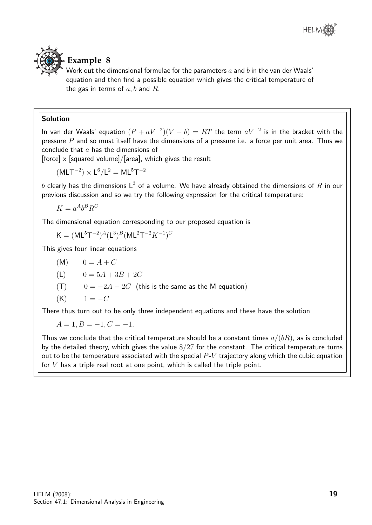



#### **Example 8**

Work out the dimensional formulae for the parameters  $a$  and  $b$  in the van der Waals' equation and then find a possible equation which gives the critical temperature of the gas in terms of  $a, b$  and  $R$ .

#### Solution

In van der Waals' equation  $(P + aV^{-2})(V - b) = RT$  the term  $aV^{-2}$  is in the bracket with the pressure  $P$  and so must itself have the dimensions of a pressure i.e. a force per unit area. Thus we conclude that  $a$  has the dimensions of

[force]  $\times$  [squared volume]/[area], which gives the result

 $(MLT^{-2}) \times L^6/L^2 = ML^5T^{-2}$ 

 $b$  clearly has the dimensions  $\mathsf{L}^3$  of a volume. We have already obtained the dimensions of  $R$  in our previous discussion and so we try the following expression for the critical temperature:

 $K = a^A b^B R^C$ 

The dimensional equation corresponding to our proposed equation is

 $\mathsf{K} = (\mathsf{M}\mathsf{L}^5\mathsf{T}^{-2})^A(\mathsf{L}^3)^B(\mathsf{M}\mathsf{L}^2\mathsf{T}^{-2}K^{-1})^C$ 

This gives four linear equations

$$
(\mathsf{M}) \qquad 0 = A + C
$$

$$
(L) \qquad 0 = 5A + 3B + 2C
$$

 $(T)$  0 =  $-2A - 2C$  (this is the same as the M equation)

$$
(\mathsf{K}) \qquad 1 = -C
$$

There thus turn out to be only three independent equations and these have the solution

 $A = 1, B = -1, C = -1.$ 

Thus we conclude that the critical temperature should be a constant times  $a/(bR)$ , as is concluded by the detailed theory, which gives the value  $8/27$  for the constant. The critical temperature turns out to be the temperature associated with the special  $P-V$  trajectory along which the cubic equation for  $V$  has a triple real root at one point, which is called the triple point.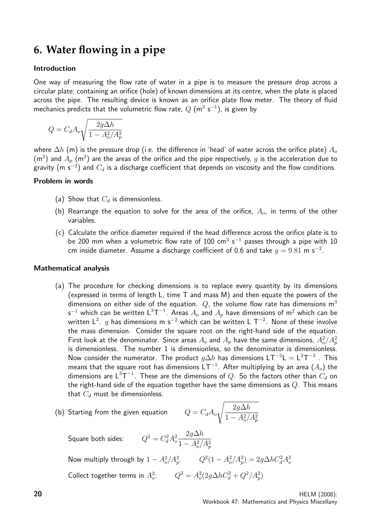### **6. Water flowing in a pipe**

#### Introduction

One way of measuring the flow rate of water in a pipe is to measure the pressure drop across a circular plate, containing an orifice (hole) of known dimensions at its centre, when the plate is placed across the pipe. The resulting device is known as an orifice plate flow meter. The theory of fluid mechanics predicts that the volumetric flow rate,  $Q$  (m<sup>3</sup> s<sup>-1</sup>), is given by

$$
Q = C_d A_o \sqrt{\frac{2g\Delta h}{1 - A_o^2/A_p^2}}
$$

where  $\Delta h$  (m) is the pressure drop (i.e. the difference in 'head' of water across the orifice plate)  $A_0$  $(\mathsf{m}^2)$  and  $A_p$   $(\mathsf{m}^2)$  are the areas of the orifice and the pipe respectively,  $g$  is the acceleration due to gravity (m s $^{-2})$  and  $C_d$  is a discharge coefficient that depends on viscosity and the flow conditions.

#### Problem in words

- (a) Show that  $C_d$  is dimensionless.
- (b) Rearrange the equation to solve for the area of the orifice,  $A_{\alpha}$ , in terms of the other variables.
- (c) Calculate the orifice diameter required if the head difference across the orifice plate is to be 200 mm when a volumetric flow rate of 100 cm<sup>3</sup> s<sup>-1</sup> passes through a pipe with 10 cm inside diameter. Assume a discharge coefficient of 0.6 and take  $g=9.81$  m s $^{-2}.$

#### Mathematical analysis

(a) The procedure for checking dimensions is to replace every quantity by its dimensions (expressed in terms of length L, time T and mass M) and then equate the powers of the dimensions on either side of the equation.  $Q$ , the volume flow rate has dimensions  $m<sup>3</sup>$ s $^{-1}$  which can be written  $\mathsf{L}^3 \mathsf{T}^{-1}.$  Areas  $A_o$  and  $A_p$  have dimensions of m $^2$  which can be written L $^2$ .  $g$  has dimensions m s $^{-2}$  which can be written L  $\mathsf{T}^{-2}$ . None of these involve the mass dimension. Consider the square root on the right-hand side of the equation. First look at the denominator. Since areas  $A_o$  and  $A_p$  have the same dimensions,  $A_o^2/A_p^2$ is dimensionless. The number 1 is dimensionless, so the denominator is dimensionless. Now consider the numerator. The product  $g\Delta h$  has dimensions  $LT^{-2}L = L^{2}T^{-2}$  . This means that the square root has dimensions  $\mathsf{LT}^{-1}.$  After multiplying by an area  $(A_o)$  the dimensions are  $\mathsf{L}^3\mathsf{T}^{-1}.$  These are the dimensions of  $Q.$  So the factors other than  $C_d$  on the right-hand side of the equation together have the same dimensions as  $Q$ . This means that  $C_d$  must be dimensionless.

(b) Starting from the given equation  $Q$ 

$$
Q = C_d A_o \sqrt{\frac{2g\Delta h}{1 - A_o^2/A_p^2}}
$$

Square both sides:  $^2 = C_d^2 A_o^2$  $2g\Delta h$  $1 - A_o^2/A_p^2$ Now multiply through by  $1 - A_o^2 / A_p^2$ .  $Q^2 (1 - A_o^2 / A_p^2) = 2 g \Delta h C_d^2 A_o^2$ Collect together terms in  $A_o^2$ :  $Q^2 = A_o^2(2g\Delta\hbar C_d^2 + Q^2/A_p^2)$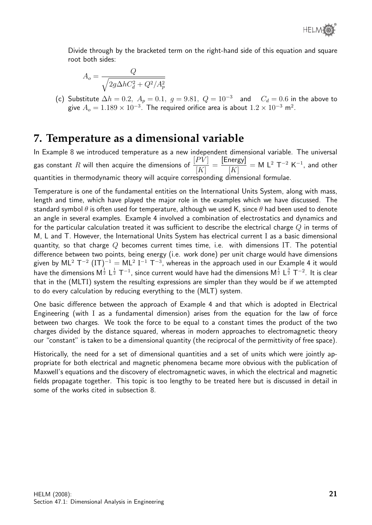Divide through by the bracketed term on the right-hand side of this equation and square root both sides:

$$
A_o = \frac{Q}{\sqrt{2g\Delta hC_d^2 + Q^2/A_p^2}}
$$

(c) Substitute  $\Delta h = 0.2$ ,  $A_p = 0.1$ ,  $g = 9.81$ ,  $Q = 10^{-3}$  and  $C_d = 0.6$  in the above to give  $A_o = 1.189 \times 10^{-3}$ . The required orifice area is about  $1.2 \times 10^{-3}$  m $^2$ .

## **7. Temperature as a dimensional variable**

In Example 8 we introduced temperature as a new independent dimensional variable. The universal gas constant  $R$  will then acquire the dimensions of  $\frac{[PV]}{[H^2]}$  $[K]$ = [Energy]  $[K]$  $= M L<sup>2</sup> T<sup>-2</sup> K<sup>-1</sup>$ , and other quantities in thermodynamic theory will acquire corresponding dimensional formulae.

Temperature is one of the fundamental entities on the International Units System, along with mass, length and time, which have played the major role in the examples which we have discussed. The standard symbol  $\theta$  is often used for temperature, although we used K, since  $\theta$  had been used to denote an angle in several examples. Example 4 involved a combination of electrostatics and dynamics and for the particular calculation treated it was sufficient to describe the electrical charge  $Q$  in terms of M, L and T. However, the International Units System has electrical current I as a basic dimensional quantity, so that charge  $Q$  becomes current times time, i.e. with dimensions IT. The potential difference between two points, being energy (i.e. work done) per unit charge would have dimensions given by ML $^2$  T $^{-2}$  (IT) $^{-1} =$  ML $^2$  I $^{-1}$  T $^{-3}$ , whereas in the approach used in our Example 4 it would have the dimensions M $^\frac12$  L $^\frac12$  T $^{-1}$ , since current would have had the dimensions M $^\frac12$  L $^\frac32$  T $^{-2}$ . It is clear that in the (MLTI) system the resulting expressions are simpler than they would be if we attempted to do every calculation by reducing everything to the (MLT) system.

One basic difference between the approach of Example 4 and that which is adopted in Electrical Engineering (with I as a fundamental dimension) arises from the equation for the law of force between two charges. We took the force to be equal to a constant times the product of the two charges divided by the distance squared, whereas in modern approaches to electromagnetic theory our "constant" is taken to be a dimensional quantity (the reciprocal of the permittivity of free space).

Historically, the need for a set of dimensional quantities and a set of units which were jointly appropriate for both electrical and magnetic phenomena became more obvious with the publication of Maxwell's equations and the discovery of electromagnetic waves, in which the electrical and magnetic fields propagate together. This topic is too lengthy to be treated here but is discussed in detail in some of the works cited in subsection 8.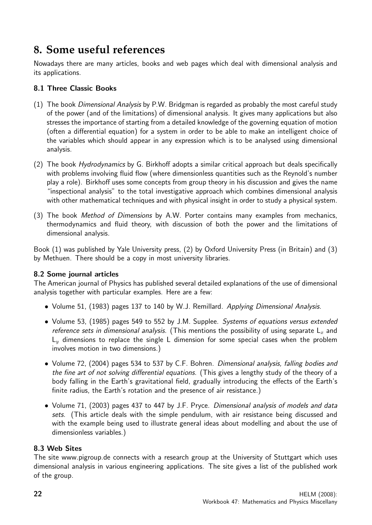## **8. Some useful references**

Nowadays there are many articles, books and web pages which deal with dimensional analysis and its applications.

#### 8.1 Three Classic Books

- (1) The book Dimensional Analysis by P.W. Bridgman is regarded as probably the most careful study of the power (and of the limitations) of dimensional analysis. It gives many applications but also stresses the importance of starting from a detailed knowledge of the governing equation of motion (often a differential equation) for a system in order to be able to make an intelligent choice of the variables which should appear in any expression which is to be analysed using dimensional analysis.
- (2) The book Hydrodynamics by G. Birkhoff adopts a similar critical approach but deals specifically with problems involving fluid flow (where dimensionless quantities such as the Reynold's number play a role). Birkhoff uses some concepts from group theory in his discussion and gives the name "inspectional analysis" to the total investigative approach which combines dimensional analysis with other mathematical techniques and with physical insight in order to study a physical system.
- (3) The book Method of Dimensions by A.W. Porter contains many examples from mechanics, thermodynamics and fluid theory, with discussion of both the power and the limitations of dimensional analysis.

Book (1) was published by Yale University press, (2) by Oxford University Press (in Britain) and (3) by Methuen. There should be a copy in most university libraries.

#### 8.2 Some journal articles

The American journal of Physics has published several detailed explanations of the use of dimensional analysis together with particular examples. Here are a few:

- Volume 51, (1983) pages 137 to 140 by W.J. Remillard. Applying Dimensional Analysis.
- Volume 53, (1985) pages 549 to 552 by J.M. Supplee. Systems of equations versus extended reference sets in dimensional analysis. (This mentions the possibility of using separate  $L<sub>x</sub>$  and  $L<sub>y</sub>$  dimensions to replace the single L dimension for some special cases when the problem involves motion in two dimensions.)
- Volume 72, (2004) pages 534 to 537 by C.F. Bohren. *Dimensional analysis, falling bodies and* the fine art of not solving differential equations. (This gives a lengthy study of the theory of a body falling in the Earth's gravitational field, gradually introducing the effects of the Earth's finite radius, the Earth's rotation and the presence of air resistance.)
- Volume 71, (2003) pages 437 to 447 by J.F. Pryce. Dimensional analysis of models and data sets. (This article deals with the simple pendulum, with air resistance being discussed and with the example being used to illustrate general ideas about modelling and about the use of dimensionless variables.)

#### 8.3 Web Sites

The site www.pigroup.de connects with a research group at the University of Stuttgart which uses dimensional analysis in various engineering applications. The site gives a list of the published work of the group.